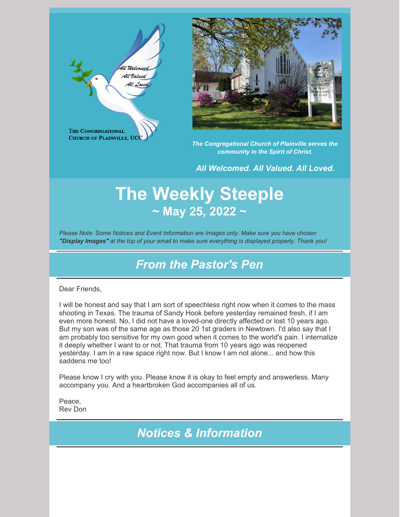



*The Congregational Church of Plainville serves the community in the Spirit of Christ.*

*All Welcomed. All Valued. All Loved.*

# **The Weekly Steeple ~ May 25, 2022 ~**

*Please Note: Some Notices and Event Information are Images only. Make sure you have chosen "Display Images" at the top of your email to make sure everything is displayed properly. Thank you!*

## *From the Pastor's Pen*

#### Dear Friends,

I will be honest and say that I am sort of speechless right now when it comes to the mass shooting in Texas. The trauma of Sandy Hook before yesterday remained fresh, if I am even more honest. No, I did not have a loved-one directly affected or lost 10 years ago. But my son was of the same age as those 20 1st graders in Newtown. I'd also say that I am probably too sensitive for my own good when it comes to the world's pain. I internalize it deeply whether I want to or not. That trauma from 10 years ago was reopened yesterday. I am in a raw space right now. But I know I am not alone... and how this saddens me too!

Please know I cry with you. Please know it is okay to feel empty and answerless. Many accompany you. And a heartbroken God accompanies all of us.

Peace, Rev Don

*Notices & Information*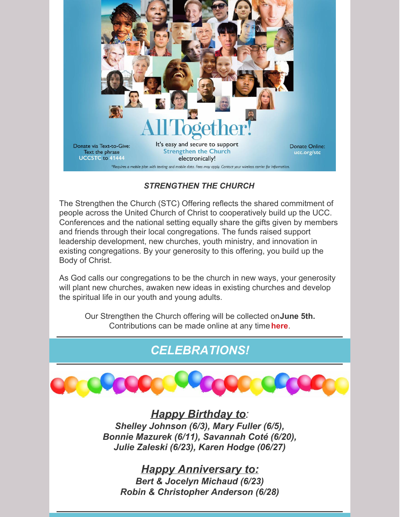

### *STRENGTHEN THE CHURCH*

The Strengthen the Church (STC) Offering reflects the shared commitment of people across the United Church of Christ to cooperatively build up the UCC. Conferences and the national setting equally share the gifts given by members and friends through their local congregations. The funds raised support leadership development, new churches, youth ministry, and innovation in existing congregations. By your generosity to this offering, you build up the Body of Christ.

As God calls our congregations to be the church in new ways, your generosity will plant new churches, awaken new ideas in existing churches and develop the spiritual life in our youth and young adults.

Our Strengthen the Church offering will be collected on**June 5th.** Contributions can be made online at any time**[here](https://www.ucc.org/giving/ways-to-give/our-churchs-wider-mission/strengthen-the-church/strengthen-the-church-give/)**.

## *CELEBRATIONS!*



*Happy Birthday to: Shelley Johnson (6/3), Mary Fuller (6/5), Bonnie Mazurek (6/11), Savannah Coté (6/20), Julie Zaleski (6/23), Karen Hodge (06/27)*

*Happy Anniversary to: Bert & Jocelyn Michaud (6/23) Robin & Christopher Anderson (6/28)*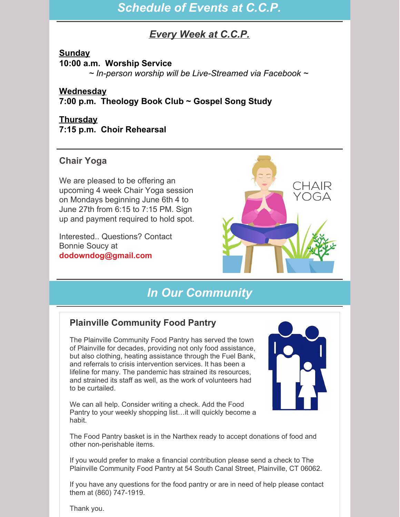## *Schedule of Events at C.C.P.*

## *Every Week at C.C.P.*

## **Sunday**

#### **10:00 a.m. Worship Service**

*~ In-person worship will be Live-Streamed via Facebook ~*

## **Wednesday**

**7:00 p.m. Theology Book Club ~ Gospel Song Study**

#### **Thursday 7:15 p.m. Choir Rehearsal**

## **Chair Yoga**

We are pleased to be offering an upcoming 4 week Chair Yoga session on Mondays beginning June 6th 4 to June 27th from 6:15 to 7:15 PM. Sign up and payment required to hold spot.

Interested.. Questions? Contact Bonnie Soucy at **[dodowndog@gmail.com](mailto:dodowndog@gmail.com)**



## *In Our Community*

## **Plainville Community Food Pantry**

The Plainville Community Food Pantry has served the town of Plainville for decades, providing not only food assistance, but also clothing, heating assistance through the Fuel Bank, and referrals to crisis intervention services. It has been a lifeline for many. The pandemic has strained its resources, and strained its staff as well, as the work of volunteers had to be curtailed.

We can all help. Consider writing a check. Add the Food Pantry to your weekly shopping list…it will quickly become a habit.



The Food Pantry basket is in the Narthex ready to accept donations of food and other non-perishable items.

If you would prefer to make a financial contribution please send a check to The Plainville Community Food Pantry at 54 South Canal Street, Plainville, CT 06062.

If you have any questions for the food pantry or are in need of help please contact them at (860) 747-1919.

Thank you.